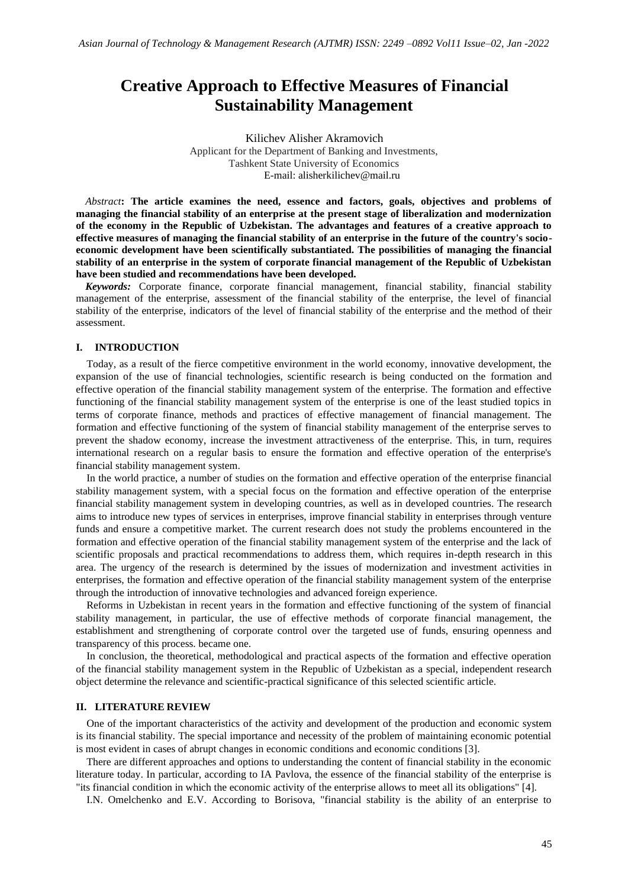# **Creative Approach to Effective Measures of Financial Sustainability Management**

Kilichev Alisher Akramovich Applicant for the Department of Banking and Investments, Tashkent State University of Economics E-mail: alisherkilichev@mail.ru

*Abstract***: The article examines the need, essence and factors, goals, objectives and problems of managing the financial stability of an enterprise at the present stage of liberalization and modernization of the economy in the Republic of Uzbekistan. The advantages and features of a creative approach to effective measures of managing the financial stability of an enterprise in the future of the country's socioeconomic development have been scientifically substantiated. The possibilities of managing the financial stability of an enterprise in the system of corporate financial management of the Republic of Uzbekistan have been studied and recommendations have been developed.**

*Keywords:* Corporate finance, corporate financial management, financial stability, financial stability management of the enterprise, assessment of the financial stability of the enterprise, the level of financial stability of the enterprise, indicators of the level of financial stability of the enterprise and the method of their assessment.

#### **I. INTRODUCTION**

Today, as a result of the fierce competitive environment in the world economy, innovative development, the expansion of the use of financial technologies, scientific research is being conducted on the formation and effective operation of the financial stability management system of the enterprise. The formation and effective functioning of the financial stability management system of the enterprise is one of the least studied topics in terms of corporate finance, methods and practices of effective management of financial management. The formation and effective functioning of the system of financial stability management of the enterprise serves to prevent the shadow economy, increase the investment attractiveness of the enterprise. This, in turn, requires international research on a regular basis to ensure the formation and effective operation of the enterprise's financial stability management system.

In the world practice, a number of studies on the formation and effective operation of the enterprise financial stability management system, with a special focus on the formation and effective operation of the enterprise financial stability management system in developing countries, as well as in developed countries. The research aims to introduce new types of services in enterprises, improve financial stability in enterprises through venture funds and ensure a competitive market. The current research does not study the problems encountered in the formation and effective operation of the financial stability management system of the enterprise and the lack of scientific proposals and practical recommendations to address them, which requires in-depth research in this area. The urgency of the research is determined by the issues of modernization and investment activities in enterprises, the formation and effective operation of the financial stability management system of the enterprise through the introduction of innovative technologies and advanced foreign experience.

Reforms in Uzbekistan in recent years in the formation and effective functioning of the system of financial stability management, in particular, the use of effective methods of corporate financial management, the establishment and strengthening of corporate control over the targeted use of funds, ensuring openness and transparency of this process. became one.

In conclusion, the theoretical, methodological and practical aspects of the formation and effective operation of the financial stability management system in the Republic of Uzbekistan as a special, independent research object determine the relevance and scientific-practical significance of this selected scientific article.

#### **II. LITERATURE REVIEW**

One of the important characteristics of the activity and development of the production and economic system is its financial stability. The special importance and necessity of the problem of maintaining economic potential is most evident in cases of abrupt changes in economic conditions and economic conditions [3].

There are different approaches and options to understanding the content of financial stability in the economic literature today. In particular, according to IA Pavlova, the essence of the financial stability of the enterprise is "its financial condition in which the economic activity of the enterprise allows to meet all its obligations" [4].

I.N. Omelchenko and E.V. According to Borisova, "financial stability is the ability of an enterprise to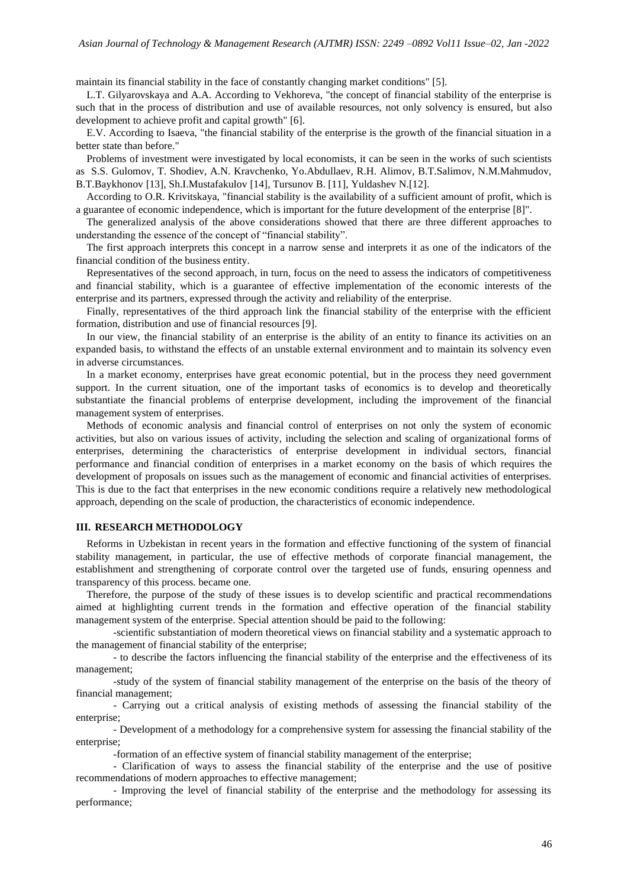maintain its financial stability in the face of constantly changing market conditions" [5].

L.T. Gilyarovskaya and A.A. According to Vekhoreva, "the concept of financial stability of the enterprise is such that in the process of distribution and use of available resources, not only solvency is ensured, but also development to achieve profit and capital growth" [6].

E.V. According to Isaeva, "the financial stability of the enterprise is the growth of the financial situation in a better state than before."

Problems of investment were investigated by local economists, it can be seen in the works of such scientists as S.S. Gulomov, T. Shodiev, A.N. Kravchenko, Yo.Abdullaev, R.H. Alimov, B.T.Salimov, N.M.Mahmudov, B.T.Baykhonov [13], Sh.I.Mustafakulov [14], Tursunov B. [11], Yuldashev N.[12].

According to O.R. Krivitskaya, "financial stability is the availability of a sufficient amount of profit, which is a guarantee of economic independence, which is important for the future development of the enterprise [8]".

The generalized analysis of the above considerations showed that there are three different approaches to understanding the essence of the concept of "financial stability".

The first approach interprets this concept in a narrow sense and interprets it as one of the indicators of the financial condition of the business entity.

Representatives of the second approach, in turn, focus on the need to assess the indicators of competitiveness and financial stability, which is a guarantee of effective implementation of the economic interests of the enterprise and its partners, expressed through the activity and reliability of the enterprise.

Finally, representatives of the third approach link the financial stability of the enterprise with the efficient formation, distribution and use of financial resources [9].

In our view, the financial stability of an enterprise is the ability of an entity to finance its activities on an expanded basis, to withstand the effects of an unstable external environment and to maintain its solvency even in adverse circumstances.

In a market economy, enterprises have great economic potential, but in the process they need government support. In the current situation, one of the important tasks of economics is to develop and theoretically substantiate the financial problems of enterprise development, including the improvement of the financial management system of enterprises.

Methods of economic analysis and financial control of enterprises on not only the system of economic activities, but also on various issues of activity, including the selection and scaling of organizational forms of enterprises, determining the characteristics of enterprise development in individual sectors, financial performance and financial condition of enterprises in a market economy on the basis of which requires the development of proposals on issues such as the management of economic and financial activities of enterprises. This is due to the fact that enterprises in the new economic conditions require a relatively new methodological approach, depending on the scale of production, the characteristics of economic independence.

#### **III. RESEARCH METHODOLOGY**

Reforms in Uzbekistan in recent years in the formation and effective functioning of the system of financial stability management, in particular, the use of effective methods of corporate financial management, the establishment and strengthening of corporate control over the targeted use of funds, ensuring openness and transparency of this process. became one.

Therefore, the purpose of the study of these issues is to develop scientific and practical recommendations aimed at highlighting current trends in the formation and effective operation of the financial stability management system of the enterprise. Special attention should be paid to the following:

-scientific substantiation of modern theoretical views on financial stability and a systematic approach to the management of financial stability of the enterprise;

- to describe the factors influencing the financial stability of the enterprise and the effectiveness of its management;

-study of the system of financial stability management of the enterprise on the basis of the theory of financial management;

- Carrying out a critical analysis of existing methods of assessing the financial stability of the enterprise;

- Development of a methodology for a comprehensive system for assessing the financial stability of the enterprise;

-formation of an effective system of financial stability management of the enterprise;

- Clarification of ways to assess the financial stability of the enterprise and the use of positive recommendations of modern approaches to effective management;

- Improving the level of financial stability of the enterprise and the methodology for assessing its performance;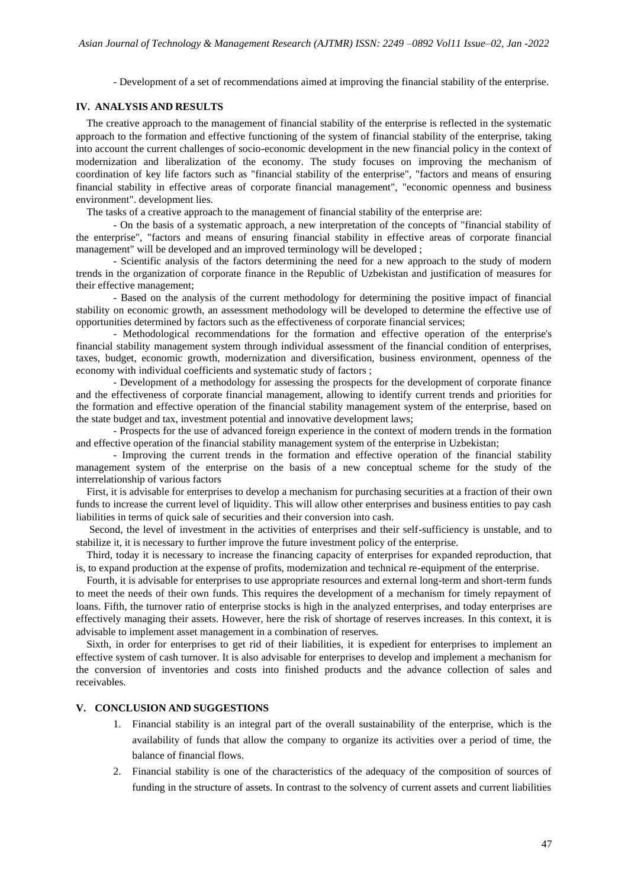- Development of a set of recommendations aimed at improving the financial stability of the enterprise.

### **IV. ANALYSIS AND RESULTS**

The creative approach to the management of financial stability of the enterprise is reflected in the systematic approach to the formation and effective functioning of the system of financial stability of the enterprise, taking into account the current challenges of socio-economic development in the new financial policy in the context of modernization and liberalization of the economy. The study focuses on improving the mechanism of coordination of key life factors such as "financial stability of the enterprise", "factors and means of ensuring financial stability in effective areas of corporate financial management", "economic openness and business environment". development lies.

The tasks of a creative approach to the management of financial stability of the enterprise are:

- On the basis of a systematic approach, a new interpretation of the concepts of "financial stability of the enterprise", "factors and means of ensuring financial stability in effective areas of corporate financial management" will be developed and an improved terminology will be developed ;

- Scientific analysis of the factors determining the need for a new approach to the study of modern trends in the organization of corporate finance in the Republic of Uzbekistan and justification of measures for their effective management;

- Based on the analysis of the current methodology for determining the positive impact of financial stability on economic growth, an assessment methodology will be developed to determine the effective use of opportunities determined by factors such as the effectiveness of corporate financial services;

- Methodological recommendations for the formation and effective operation of the enterprise's financial stability management system through individual assessment of the financial condition of enterprises, taxes, budget, economic growth, modernization and diversification, business environment, openness of the economy with individual coefficients and systematic study of factors ;

- Development of a methodology for assessing the prospects for the development of corporate finance and the effectiveness of corporate financial management, allowing to identify current trends and priorities for the formation and effective operation of the financial stability management system of the enterprise, based on the state budget and tax, investment potential and innovative development laws;

- Prospects for the use of advanced foreign experience in the context of modern trends in the formation and effective operation of the financial stability management system of the enterprise in Uzbekistan;

- Improving the current trends in the formation and effective operation of the financial stability management system of the enterprise on the basis of a new conceptual scheme for the study of the interrelationship of various factors

First, it is advisable for enterprises to develop a mechanism for purchasing securities at a fraction of their own funds to increase the current level of liquidity. This will allow other enterprises and business entities to pay cash liabilities in terms of quick sale of securities and their conversion into cash.

Second, the level of investment in the activities of enterprises and their self-sufficiency is unstable, and to stabilize it, it is necessary to further improve the future investment policy of the enterprise.

Third, today it is necessary to increase the financing capacity of enterprises for expanded reproduction, that is, to expand production at the expense of profits, modernization and technical re-equipment of the enterprise.

Fourth, it is advisable for enterprises to use appropriate resources and external long-term and short-term funds to meet the needs of their own funds. This requires the development of a mechanism for timely repayment of loans. Fifth, the turnover ratio of enterprise stocks is high in the analyzed enterprises, and today enterprises are effectively managing their assets. However, here the risk of shortage of reserves increases. In this context, it is advisable to implement asset management in a combination of reserves.

Sixth, in order for enterprises to get rid of their liabilities, it is expedient for enterprises to implement an effective system of cash turnover. It is also advisable for enterprises to develop and implement a mechanism for the conversion of inventories and costs into finished products and the advance collection of sales and receivables.

## **V. CONCLUSION AND SUGGESTIONS**

- 1. Financial stability is an integral part of the overall sustainability of the enterprise, which is the availability of funds that allow the company to organize its activities over a period of time, the balance of financial flows.
- 2. Financial stability is one of the characteristics of the adequacy of the composition of sources of funding in the structure of assets. In contrast to the solvency of current assets and current liabilities